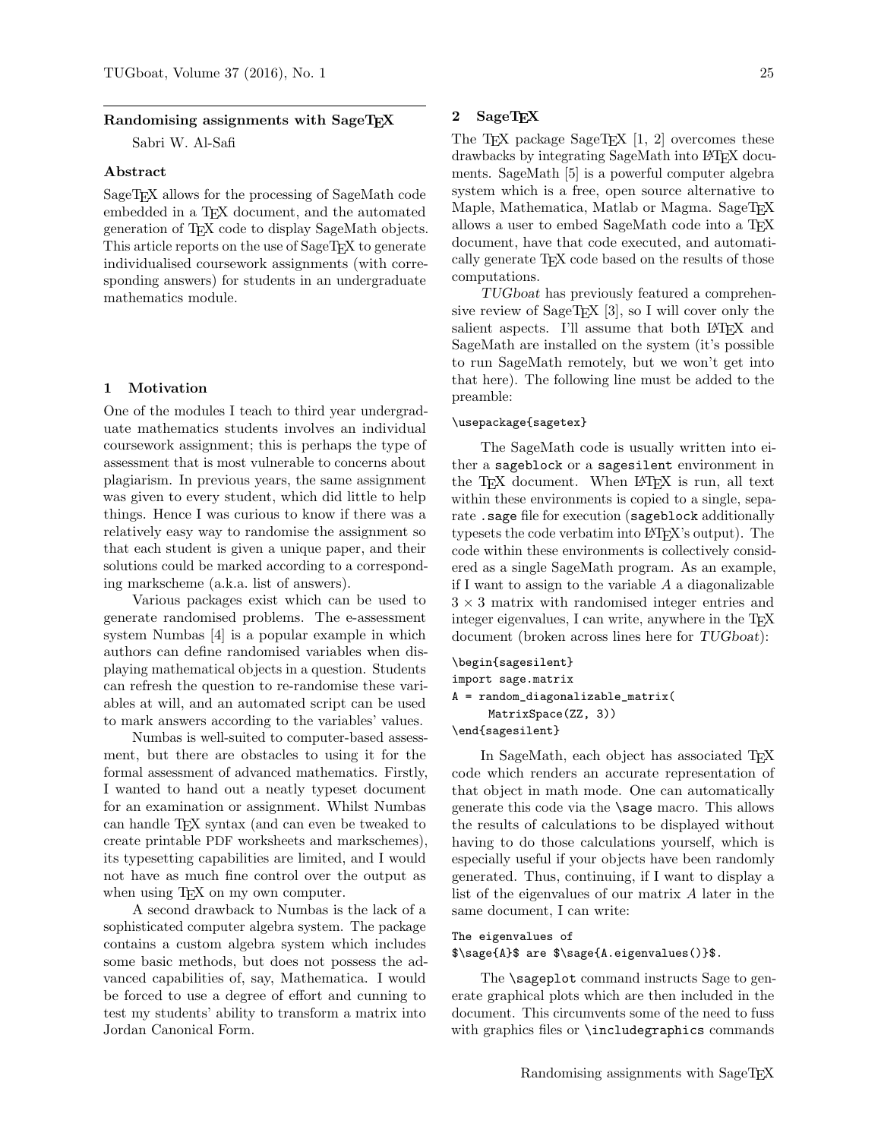## Randomising assignments with SageTFX

Sabri W. Al-Safi

### Abstract

SageTEX allows for the processing of SageMath code embedded in a T<sub>F</sub>X document, and the automated generation of TEX code to display SageMath objects. This article reports on the use of SageT<sub>EX</sub> to generate individualised coursework assignments (with corresponding answers) for students in an undergraduate mathematics module.

## 1 Motivation

One of the modules I teach to third year undergraduate mathematics students involves an individual coursework assignment; this is perhaps the type of assessment that is most vulnerable to concerns about plagiarism. In previous years, the same assignment was given to every student, which did little to help things. Hence I was curious to know if there was a relatively easy way to randomise the assignment so that each student is given a unique paper, and their solutions could be marked according to a corresponding markscheme (a.k.a. list of answers).

Various packages exist which can be used to generate randomised problems. The e-assessment system Numbas [\[4\]](#page-2-0) is a popular example in which authors can define randomised variables when displaying mathematical objects in a question. Students can refresh the question to re-randomise these variables at will, and an automated script can be used to mark answers according to the variables' values.

Numbas is well-suited to computer-based assessment, but there are obstacles to using it for the formal assessment of advanced mathematics. Firstly, I wanted to hand out a neatly typeset document for an examination or assignment. Whilst Numbas can handle TEX syntax (and can even be tweaked to create printable PDF worksheets and markschemes), its typesetting capabilities are limited, and I would not have as much fine control over the output as when using T<sub>E</sub>X on my own computer.

A second drawback to Numbas is the lack of a sophisticated computer algebra system. The package contains a custom algebra system which includes some basic methods, but does not possess the advanced capabilities of, say, Mathematica. I would be forced to use a degree of effort and cunning to test my students' ability to transform a matrix into Jordan Canonical Form.

# 2 SageTEX

The T<sub>E</sub>X package SageT<sub>E</sub>X  $[1, 2]$  $[1, 2]$  $[1, 2]$  overcomes these drawbacks by integrating SageMath into LAT<sub>EX</sub> documents. SageMath [\[5\]](#page-2-3) is a powerful computer algebra system which is a free, open source alternative to Maple, Mathematica, Matlab or Magma. SageT<sub>F</sub>X allows a user to embed SageMath code into a TEX document, have that code executed, and automatically generate TEX code based on the results of those computations.

TUGboat has previously featured a comprehen-sive review of SageT<sub>EX</sub> [\[3\]](#page-2-4), so I will cover only the salient aspects. I'll assume that both LAT<sub>EX</sub> and SageMath are installed on the system (it's possible to run SageMath remotely, but we won't get into that here). The following line must be added to the preamble:

#### \usepackage{sagetex}

The SageMath code is usually written into either a sageblock or a sagesilent environment in the T<sub>EX</sub> document. When LAT<sub>EX</sub> is run, all text within these environments is copied to a single, separate .sage file for execution (sageblock additionally typesets the code verbatim into LATEX's output). The code within these environments is collectively considered as a single SageMath program. As an example, if I want to assign to the variable A a diagonalizable  $3 \times 3$  matrix with randomised integer entries and integer eigenvalues, I can write, anywhere in the T<sub>E</sub>X document (broken across lines here for TUGboat):

```
\begin{sagesilent}
import sage.matrix
A = random_diagonalizable_matrix(
     MatrixSpace(ZZ, 3))
```
\end{sagesilent}

In SageMath, each object has associated T<sub>E</sub>X code which renders an accurate representation of that object in math mode. One can automatically generate this code via the \sage macro. This allows the results of calculations to be displayed without having to do those calculations yourself, which is especially useful if your objects have been randomly generated. Thus, continuing, if I want to display a list of the eigenvalues of our matrix A later in the same document, I can write:

# The eigenvalues of \$\sage{A}\$ are \$\sage{A.eigenvalues()}\$.

The **\sageplot** command instructs Sage to generate graphical plots which are then included in the document. This circumvents some of the need to fuss with graphics files or \includegraphics commands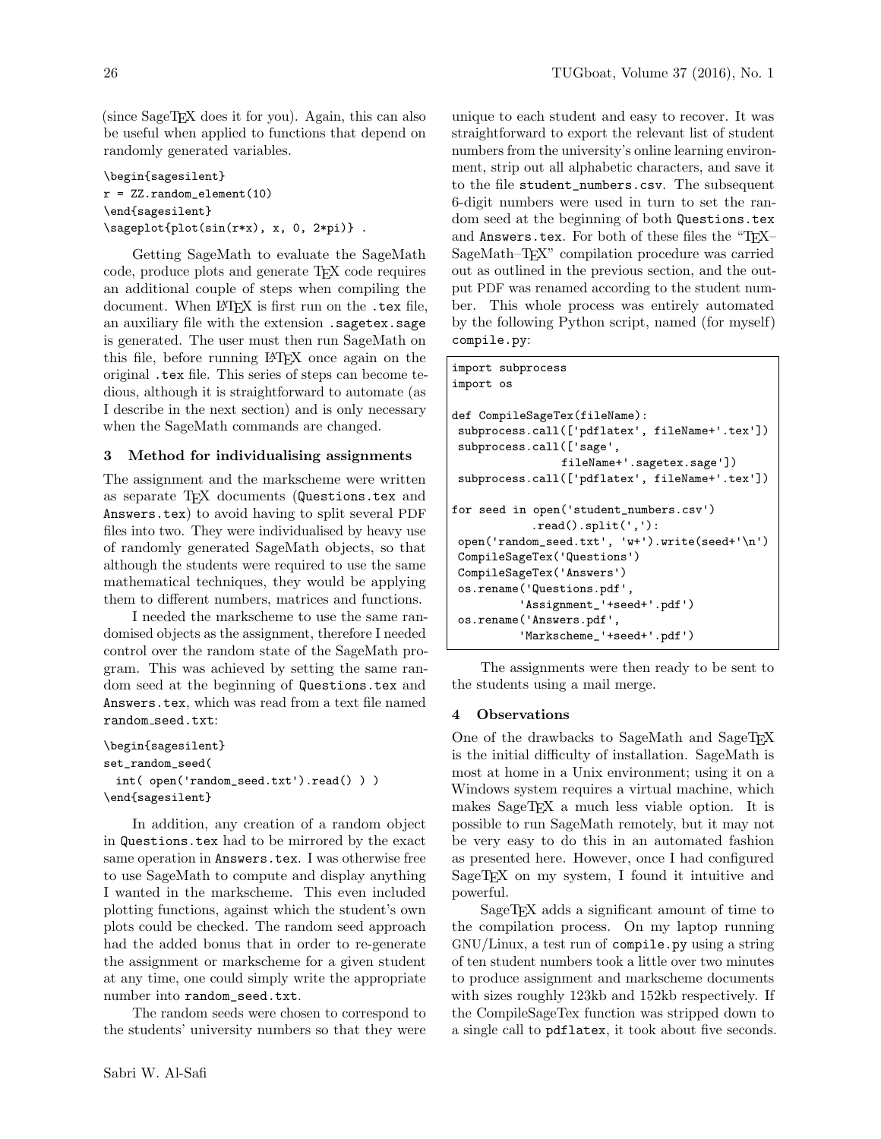(since SageTEX does it for you). Again, this can also be useful when applied to functions that depend on randomly generated variables.

```
\begin{sagesilent}
r = ZZ.random-element(10)\end{sagesilent}
\sageplot{plot(sin(r*x), x, 0, 2*pi)} .
```
Getting SageMath to evaluate the SageMath code, produce plots and generate TEX code requires an additional couple of steps when compiling the document. When LATEX is first run on the .tex file, an auxiliary file with the extension .sagetex.sage is generated. The user must then run SageMath on this file, before running LATEX once again on the original .tex file. This series of steps can become tedious, although it is straightforward to automate (as I describe in the next section) and is only necessary when the SageMath commands are changed.

# 3 Method for individualising assignments

The assignment and the markscheme were written as separate TFX documents (Questions.tex and Answers.tex) to avoid having to split several PDF files into two. They were individualised by heavy use of randomly generated SageMath objects, so that although the students were required to use the same mathematical techniques, they would be applying them to different numbers, matrices and functions.

I needed the markscheme to use the same randomised objects as the assignment, therefore I needed control over the random state of the SageMath program. This was achieved by setting the same random seed at the beginning of Questions.tex and Answers.tex, which was read from a text file named random seed.txt:

```
\begin{sagesilent}
set_random_seed(
 int( open('random_seed.txt').read() ) )
\end{sagesilent}
```
In addition, any creation of a random object in Questions.tex had to be mirrored by the exact same operation in Answers.tex. I was otherwise free to use SageMath to compute and display anything I wanted in the markscheme. This even included plotting functions, against which the student's own plots could be checked. The random seed approach had the added bonus that in order to re-generate the assignment or markscheme for a given student at any time, one could simply write the appropriate number into random\_seed.txt.

The random seeds were chosen to correspond to the students' university numbers so that they were

unique to each student and easy to recover. It was straightforward to export the relevant list of student numbers from the university's online learning environment, strip out all alphabetic characters, and save it to the file student\_numbers.csv. The subsequent 6-digit numbers were used in turn to set the random seed at the beginning of both Questions.tex and Answers.tex. For both of these files the "TEX-SageMath–T<sub>E</sub>X" compilation procedure was carried out as outlined in the previous section, and the output PDF was renamed according to the student number. This whole process was entirely automated by the following Python script, named (for myself) compile.py:

```
import subprocess
import os
def CompileSageTex(fileName):
subprocess.call(['pdflatex', fileName+'.tex'])
subprocess.call(['sage',
                fileName+'.sagetex.sage'])
subprocess.call(['pdflatex', fileName+'.tex'])
for seed in open('student_numbers.csv')
            .read().split(','):
open('random_seed.txt', 'w+').write(seed+'\n')
CompileSageTex('Questions')
CompileSageTex('Answers')
os.rename('Questions.pdf',
          'Assignment_'+seed+'.pdf')
os.rename('Answers.pdf',
          'Markscheme_'+seed+'.pdf')
```
The assignments were then ready to be sent to the students using a mail merge.

### 4 Observations

One of the drawbacks to SageMath and SageTFX is the initial difficulty of installation. SageMath is most at home in a Unix environment; using it on a Windows system requires a virtual machine, which makes SageTEX a much less viable option. It is possible to run SageMath remotely, but it may not be very easy to do this in an automated fashion as presented here. However, once I had configured SageT<sub>EX</sub> on my system, I found it intuitive and powerful.

SageTEX adds a significant amount of time to the compilation process. On my laptop running GNU/Linux, a test run of compile.py using a string of ten student numbers took a little over two minutes to produce assignment and markscheme documents with sizes roughly 123kb and 152kb respectively. If the CompileSageTex function was stripped down to a single call to pdflatex, it took about five seconds.